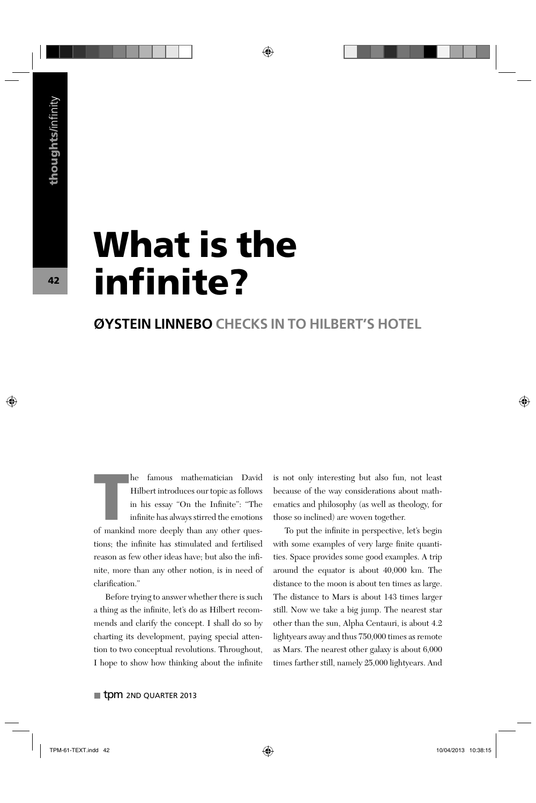# **What is the infi nite?**

#### **ØYSTEIN LINNEBO CHECKS IN TO HILBERT'S HOTEL**

**THE MORE IS A THE MORE THE MORE THE MORE IS A THE MORE IS SERVICE IS INTERENT MORE IS INTERENT MORE AN ANNO THE MORE THAN AN ANNO THE MORE THE MORE AND ANNO THE MORE AND ANNO THE MORE AND A MORE AND A MORE AND A MORE AND** he famous mathematician David Hilbert introduces our topic as follows in his essay "On the Infinite": "The infinite has always stirred the emotions tions; the infinite has stimulated and fertilised reason as few other ideas have; but also the infinite, more than any other notion, is in need of clarification."

Before trying to answer whether there is such a thing as the infinite, let's do as Hilbert recommends and clarify the concept. I shall do so by charting its development, paying special attention to two conceptual revolutions. Throughout, I hope to show how thinking about the infinite is not only interesting but also fun, not least because of the way considerations about mathematics and philosophy (as well as theology, for those so inclined) are woven together.

To put the infinite in perspective, let's begin with some examples of very large finite quantities. Space provides some good examples. A trip around the equator is about 40,000 km. The distance to the moon is about ten times as large. The distance to Mars is about 143 times larger still. Now we take a big jump. The nearest star other than the sun, Alpha Centauri, is about 4.2 lightyears away and thus 750,000 times as remote as Mars. The nearest other galaxy is about 6,000 times farther still, namely 25,000 lightyears. And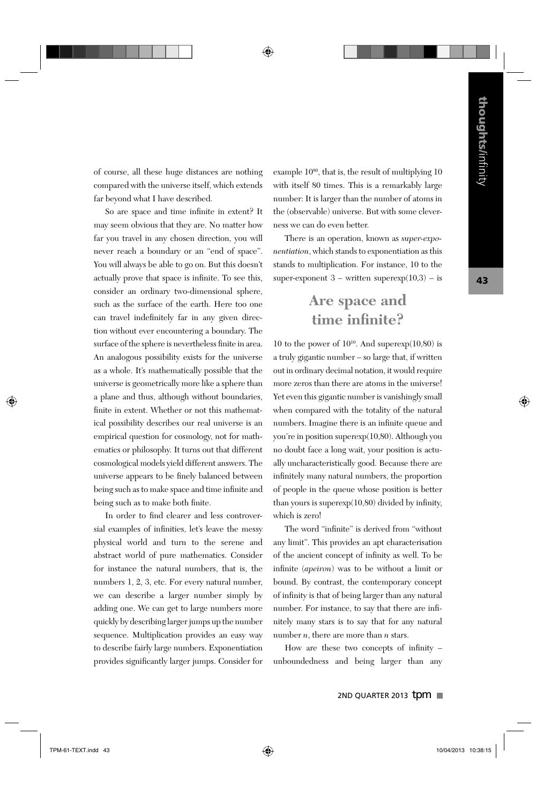of course, all these huge distances are nothing compared with the universe itself, which extends far beyond what I have described.

So are space and time infinite in extent? It may seem obvious that they are. No matter how far you travel in any chosen direction, you will never reach a boundary or an "end of space". You will always be able to go on. But this doesn't actually prove that space is infinite. To see this, consider an ordinary two-dimensional sphere, such as the surface of the earth. Here too one can travel indefinitely far in any given direction without ever encountering a boundary. The surface of the sphere is nevertheless finite in area. An analogous possibility exists for the universe as a whole. It's mathematically possible that the universe is geometrically more like a sphere than a plane and thus, although without boundaries, finite in extent. Whether or not this mathematical possibility describes our real universe is an empirical question for cosmology, not for mathematics or philosophy. It turns out that different cosmological models yield different answers. The universe appears to be finely balanced between being such as to make space and time infinite and being such as to make both finite.

In order to find clearer and less controversial examples of infinities, let's leave the messy physical world and turn to the serene and abstract world of pure mathematics. Consider for instance the natural numbers, that is, the numbers 1, 2, 3, etc. For every natural number, we can describe a larger number simply by adding one. We can get to large numbers more quickly by describing larger jumps up the number sequence. Multiplication provides an easy way to describe fairly large numbers. Exponentiation provides significantly larger jumps. Consider for example  $10^{80}$ , that is, the result of multiplying  $10$ with itself 80 times. This is a remarkably large number: It is larger than the number of atoms in the (observable) universe. But with some cleverness we can do even better.

There is an operation, known as *super-exponentiation*, which stands to exponentiation as this stands to multiplication. For instance, 10 to the super-exponent  $3$  – written superexp $(10,3)$  – is

### **Are space and time infinite?**

10 to the power of  $10^{10}$ . And superexp $(10,80)$  is a truly gigantic number – so large that, if written out in ordinary decimal notation, it would require more zeros than there are atoms in the universe! Yet even this gigantic number is vanishingly small when compared with the totality of the natural numbers. Imagine there is an infinite queue and you're in position superexp(10,80). Although you no doubt face a long wait, your position is actually uncharacteristically good. Because there are infinitely many natural numbers, the proportion of people in the queue whose position is better than yours is superexp $(10,80)$  divided by infinity, which is zero!

The word "infinite" is derived from "without any limit". This provides an apt characterisation of the ancient concept of infinity as well. To be infinite (*apeiron*) was to be without a limit or bound. By contrast, the contemporary concept of infinity is that of being larger than any natural number. For instance, to say that there are infinitely many stars is to say that for any natural number *n*, there are more than *n* stars.

How are these two concepts of infinity  $$ unboundedness and being larger than any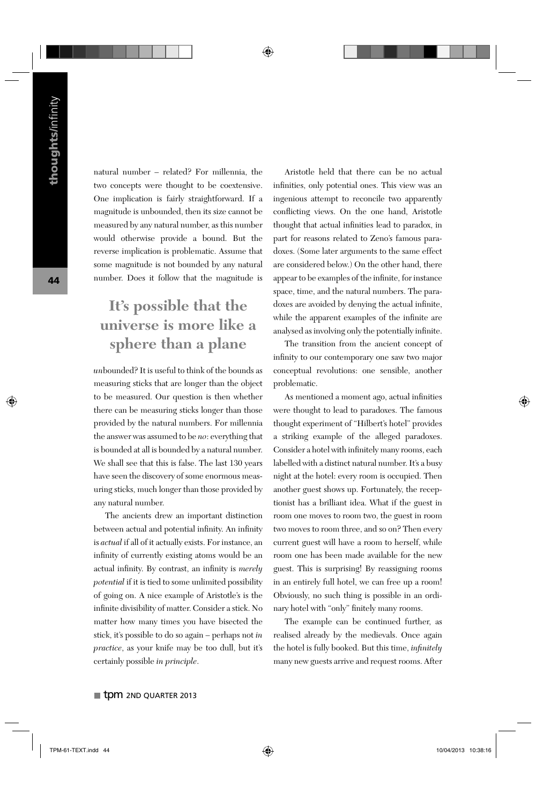natural number – related? For millennia, the two concepts were thought to be coextensive. One implication is fairly straightforward. If a magnitude is unbounded, then its size cannot be measured by any natural number, as this number would otherwise provide a bound. But the reverse implication is problematic. Assume that some magnitude is not bounded by any natural number. Does it follow that the magnitude is

## **It's possible that the universe is more like a sphere than a plane**

*un*bounded? It is useful to think of the bounds as measuring sticks that are longer than the object to be measured. Our question is then whether there can be measuring sticks longer than those provided by the natural numbers. For millennia the answer was assumed to be *no*: everything that is bounded at all is bounded by a natural number. We shall see that this is false. The last 130 years have seen the discovery of some enormous measuring sticks, much longer than those provided by any natural number.

The ancients drew an important distinction between actual and potential infinity. An infinity is *actual* if all of it actually exists. For instance, an infinity of currently existing atoms would be an actual infinity. By contrast, an infinity is *merely potential* if it is tied to some unlimited possibility of going on. A nice example of Aristotle's is the infinite divisibility of matter. Consider a stick. No matter how many times you have bisected the stick, it's possible to do so again – perhaps not *in practice*, as your knife may be too dull, but it's certainly possible *in principle*.

Aristotle held that there can be no actual infinities, only potential ones. This view was an ingenious attempt to reconcile two apparently conflicting views. On the one hand, Aristotle thought that actual infinities lead to paradox, in part for reasons related to Zeno's famous paradoxes. (Some later arguments to the same effect are considered below.) On the other hand, there appear to be examples of the infinite, for instance space, time, and the natural numbers. The paradoxes are avoided by denying the actual infinite, while the apparent examples of the infinite are analysed as involving only the potentially infinite.

The transition from the ancient concept of infinity to our contemporary one saw two major conceptual revolutions: one sensible, another problematic.

As mentioned a moment ago, actual infinities were thought to lead to paradoxes. The famous thought experiment of "Hilbert's hotel" provides a striking example of the alleged paradoxes. Consider a hotel with infinitely many rooms, each labelled with a distinct natural number. It's a busy night at the hotel: every room is occupied. Then another guest shows up. Fortunately, the receptionist has a brilliant idea. What if the guest in room one moves to room two, the guest in room two moves to room three, and so on? Then every current guest will have a room to herself, while room one has been made available for the new guest. This is surprising! By reassigning rooms in an entirely full hotel, we can free up a room! Obviously, no such thing is possible in an ordinary hotel with "only" finitely many rooms.

The example can be continued further, as realised already by the medievals. Once again the hotel is fully booked. But this time, *infinitely* many new guests arrive and request rooms. After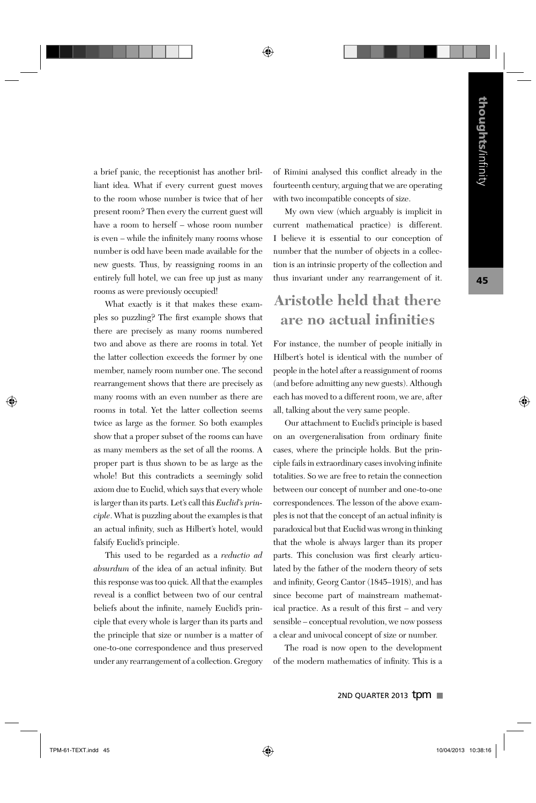a brief panic, the receptionist has another brilliant idea. What if every current guest moves to the room whose number is twice that of her present room? Then every the current guest will have a room to herself – whose room number is even – while the infinitely many rooms whose number is odd have been made available for the new guests. Thus, by reassigning rooms in an entirely full hotel, we can free up just as many rooms as were previously occupied!

What exactly is it that makes these examples so puzzling? The first example shows that there are precisely as many rooms numbered two and above as there are rooms in total. Yet the latter collection exceeds the former by one member, namely room number one. The second rearrangement shows that there are precisely as many rooms with an even number as there are rooms in total. Yet the latter collection seems twice as large as the former. So both examples show that a proper subset of the rooms can have as many members as the set of all the rooms. A proper part is thus shown to be as large as the whole! But this contradicts a seemingly solid axiom due to Euclid, which says that every whole is larger than its parts. Let's call this *Euclid's principle*. What is puzzling about the examples is that an actual infinity, such as Hilbert's hotel, would falsify Euclid's principle.

This used to be regarded as a *reductio ad absurdum* of the idea of an actual infinity. But this response was too quick. All that the examples reveal is a conflict between two of our central beliefs about the infinite, namely Euclid's principle that every whole is larger than its parts and the principle that size or number is a matter of one-to-one correspondence and thus preserved under any rearrangement of a collection. Gregory of Rimini analysed this conflict already in the fourteenth century, arguing that we are operating with two incompatible concepts of size.

My own view (which arguably is implicit in current mathematical practice) is different. I believe it is essential to our conception of number that the number of objects in a collection is an intrinsic property of the collection and thus invariant under any rearrangement of it.

### **Aristotle held that there are no actual infinities**

For instance, the number of people initially in Hilbert's hotel is identical with the number of people in the hotel after a reassignment of rooms (and before admitting any new guests). Although each has moved to a different room, we are, after all, talking about the very same people.

Our attachment to Euclid's principle is based on an overgeneralisation from ordinary finite cases, where the principle holds. But the principle fails in extraordinary cases involving infinite totalities. So we are free to retain the connection between our concept of number and one-to-one correspondences. The lesson of the above examples is not that the concept of an actual infinity is paradoxical but that Euclid was wrong in thinking that the whole is always larger than its proper parts. This conclusion was first clearly articulated by the father of the modern theory of sets and infinity, Georg Cantor (1845–1918), and has since become part of mainstream mathematical practice. As a result of this first – and very sensible – conceptual revolution, we now possess a clear and univocal concept of size or number.

The road is now open to the development of the modern mathematics of infinity. This is a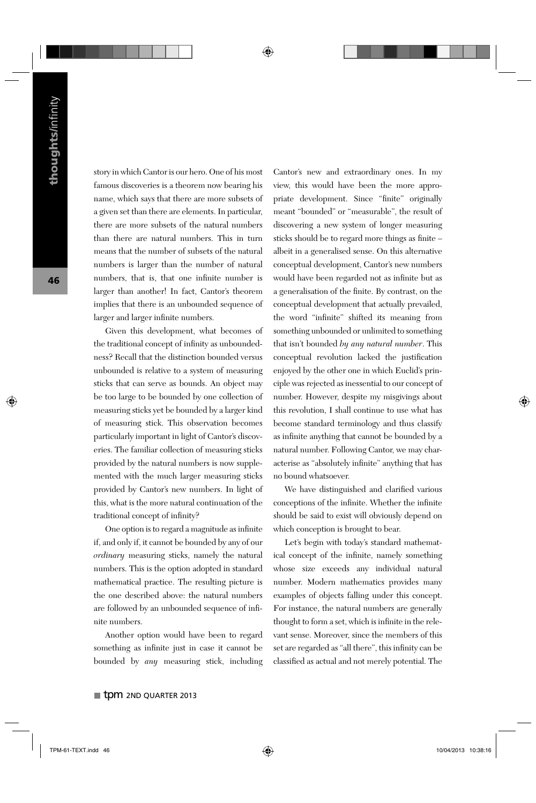story in which Cantor is our hero. One of his most famous discoveries is a theorem now bearing his name, which says that there are more subsets of a given set than there are elements. In particular, there are more subsets of the natural numbers than there are natural numbers. This in turn means that the number of subsets of the natural numbers is larger than the number of natural numbers, that is, that one infinite number is larger than another! In fact, Cantor's theorem implies that there is an unbounded sequence of larger and larger infinite numbers.

Given this development, what becomes of the traditional concept of infinity as unboundedness? Recall that the distinction bounded versus unbounded is relative to a system of measuring sticks that can serve as bounds. An object may be too large to be bounded by one collection of measuring sticks yet be bounded by a larger kind of measuring stick. This observation becomes particularly important in light of Cantor's discoveries. The familiar collection of measuring sticks provided by the natural numbers is now supplemented with the much larger measuring sticks provided by Cantor's new numbers. In light of this, what is the more natural continuation of the traditional concept of infinity?

One option is to regard a magnitude as infinite if, and only if, it cannot be bounded by any of our *ordinary* measuring sticks, namely the natural numbers. This is the option adopted in standard mathematical practice. The resulting picture is the one described above: the natural numbers are followed by an unbounded sequence of infinite numbers.

Another option would have been to regard something as infinite just in case it cannot be bounded by *any* measuring stick, including Cantor's new and extraordinary ones. In my view, this would have been the more appropriate development. Since "finite" originally meant "bounded" or "measurable", the result of discovering a new system of longer measuring sticks should be to regard more things as finite – albeit in a generalised sense. On this alternative conceptual development, Cantor's new numbers would have been regarded not as infinite but as a generalisation of the finite. By contrast, on the conceptual development that actually prevailed, the word "infinite" shifted its meaning from something unbounded or unlimited to something that isn't bounded *by any natural number*. This conceptual revolution lacked the justification enjoyed by the other one in which Euclid's principle was rejected as inessential to our concept of number. However, despite my misgivings about this revolution, I shall continue to use what has become standard terminology and thus classify as infinite anything that cannot be bounded by a natural number. Following Cantor, we may characterise as "absolutely infinite" anything that has no bound whatsoever.

We have distinguished and clarified various conceptions of the infinite. Whether the infinite should be said to exist will obviously depend on which conception is brought to bear.

Let's begin with today's standard mathematical concept of the infinite, namely something whose size exceeds any individual natural number. Modern mathematics provides many examples of objects falling under this concept. For instance, the natural numbers are generally thought to form a set, which is infinite in the relevant sense. Moreover, since the members of this set are regarded as "all there", this infinity can be classified as actual and not merely potential. The